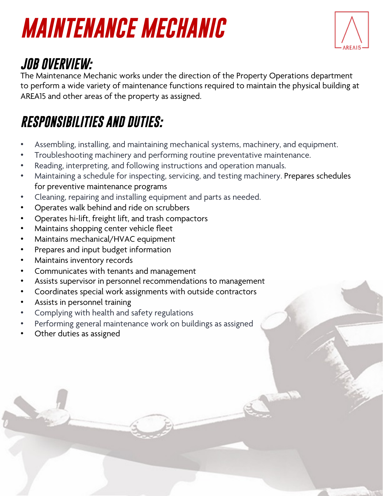# *MAINTENANCE MECHANIC*



### *JOB OVERVIEW:*

The Maintenance Mechanic works under the direction of the Property Operations department to perform a wide variety of maintenance functions required to maintain the physical building at AREA15 and other areas of the property as assigned.

#### *RESPONSIBILITIES AND DUTIES:*

- Assembling, installing, and maintaining mechanical systems, machinery, and equipment.
- Troubleshooting machinery and performing routine preventative maintenance.
- Reading, interpreting, and following instructions and operation manuals.
- Maintaining a schedule for inspecting, servicing, and testing machinery. Prepares schedules for preventive maintenance programs
- Cleaning, repairing and installing equipment and parts as needed.
- Operates walk behind and ride on scrubbers
- Operates hi-lift, freight lift, and trash compactors
- Maintains shopping center vehicle fleet
- Maintains mechanical/HVAC equipment
- Prepares and input budget information
- Maintains inventory records
- Communicates with tenants and management
- Assists supervisor in personnel recommendations to management
- Coordinates special work assignments with outside contractors
- Assists in personnel training
- Complying with health and safety regulations
- Performing general maintenance work on buildings as assigned
- Other duties as assigned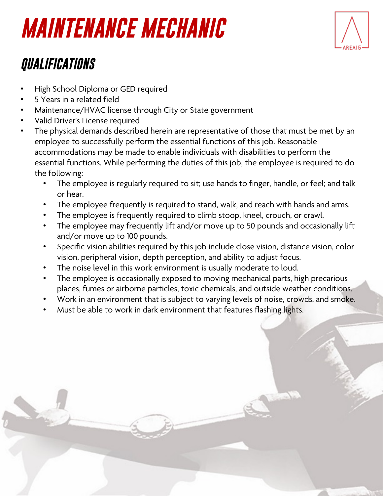### *MAINTENANCE MECHANIC*



### *QUALIFICATIONS*

- High School Diploma or GED required
- 5 Years in a related field
- Maintenance/HVAC license through City or State government
- Valid Driver's License required
- The physical demands described herein are representative of those that must be met by an employee to successfully perform the essential functions of this job. Reasonable accommodations may be made to enable individuals with disabilities to perform the essential functions. While performing the duties of this job, the employee is required to do the following:
	- The employee is regularly required to sit; use hands to finger, handle, or feel; and talk or hear.
	- The employee frequently is required to stand, walk, and reach with hands and arms.
	- The employee is frequently required to climb stoop, kneel, crouch, or crawl.
	- The employee may frequently lift and/or move up to 50 pounds and occasionally lift and/or move up to 100 pounds.
	- Specific vision abilities required by this job include close vision, distance vision, color vision, peripheral vision, depth perception, and ability to adjust focus.
	- The noise level in this work environment is usually moderate to loud.
	- The employee is occasionally exposed to moving mechanical parts, high precarious places, fumes or airborne particles, toxic chemicals, and outside weather conditions.
	- Work in an environment that is subject to varying levels of noise, crowds, and smoke.
	- Must be able to work in dark environment that features flashing lights.